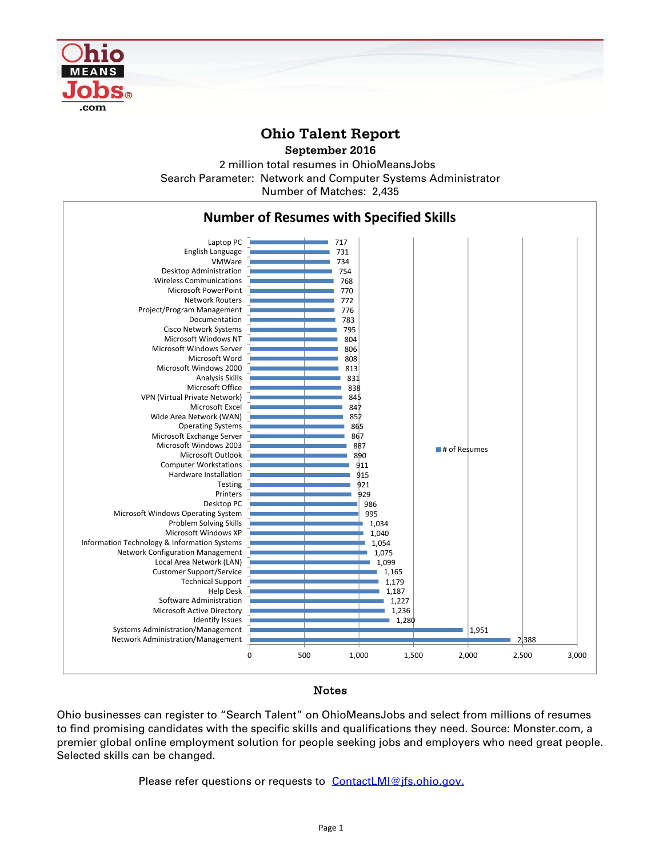

## **Ohio Talent Report**

**September 2016**

2 million total resumes in OhioMeansJobs Number of Matches: 2,435 Search Parameter: Network and Computer Systems Administrator



## Notes

Ohio businesses can register to "Search Talent" on OhioMeansJobs and select from millions of resumes to find promising candidates with the specific skills and qualifications they need. Source: Monster.com, a premier global online employment solution for people seeking jobs and employers who need great people. Selected skills can be changed.

Please refer questions or requests to ContactLMI@jfs.ohio.gov.